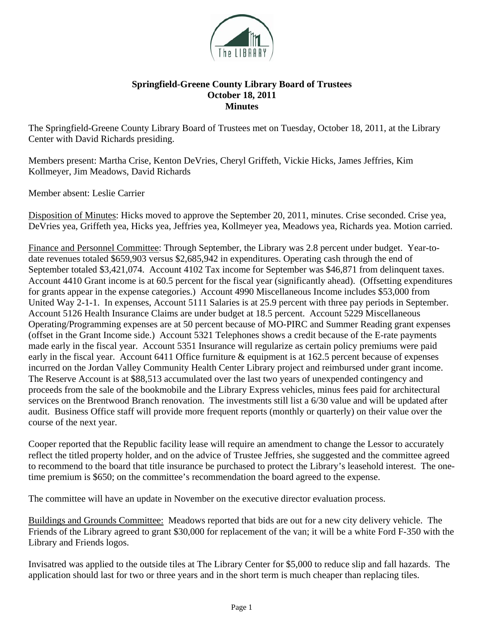

## **Springfield-Greene County Library Board of Trustees October 18, 2011 Minutes**

The Springfield-Greene County Library Board of Trustees met on Tuesday, October 18, 2011, at the Library Center with David Richards presiding.

Members present: Martha Crise, Kenton DeVries, Cheryl Griffeth, Vickie Hicks, James Jeffries, Kim Kollmeyer, Jim Meadows, David Richards

Member absent: Leslie Carrier

Disposition of Minutes: Hicks moved to approve the September 20, 2011, minutes. Crise seconded. Crise yea, DeVries yea, Griffeth yea, Hicks yea, Jeffries yea, Kollmeyer yea, Meadows yea, Richards yea. Motion carried.

Finance and Personnel Committee: Through September, the Library was 2.8 percent under budget. Year-todate revenues totaled \$659,903 versus \$2,685,942 in expenditures. Operating cash through the end of September totaled \$3,421,074. Account 4102 Tax income for September was \$46,871 from delinquent taxes. Account 4410 Grant income is at 60.5 percent for the fiscal year (significantly ahead). (Offsetting expenditures for grants appear in the expense categories.) Account 4990 Miscellaneous Income includes \$53,000 from United Way 2-1-1. In expenses, Account 5111 Salaries is at 25.9 percent with three pay periods in September. Account 5126 Health Insurance Claims are under budget at 18.5 percent. Account 5229 Miscellaneous Operating/Programming expenses are at 50 percent because of MO-PIRC and Summer Reading grant expenses (offset in the Grant Income side.) Account 5321 Telephones shows a credit because of the E-rate payments made early in the fiscal year. Account 5351 Insurance will regularize as certain policy premiums were paid early in the fiscal year. Account 6411 Office furniture & equipment is at 162.5 percent because of expenses incurred on the Jordan Valley Community Health Center Library project and reimbursed under grant income. The Reserve Account is at \$88,513 accumulated over the last two years of unexpended contingency and proceeds from the sale of the bookmobile and the Library Express vehicles, minus fees paid for architectural services on the Brentwood Branch renovation. The investments still list a 6/30 value and will be updated after audit. Business Office staff will provide more frequent reports (monthly or quarterly) on their value over the course of the next year.

Cooper reported that the Republic facility lease will require an amendment to change the Lessor to accurately reflect the titled property holder, and on the advice of Trustee Jeffries, she suggested and the committee agreed to recommend to the board that title insurance be purchased to protect the Library's leasehold interest. The onetime premium is \$650; on the committee's recommendation the board agreed to the expense.

The committee will have an update in November on the executive director evaluation process.

Buildings and Grounds Committee: Meadows reported that bids are out for a new city delivery vehicle. The Friends of the Library agreed to grant \$30,000 for replacement of the van; it will be a white Ford F-350 with the Library and Friends logos.

Invisatred was applied to the outside tiles at The Library Center for \$5,000 to reduce slip and fall hazards. The application should last for two or three years and in the short term is much cheaper than replacing tiles.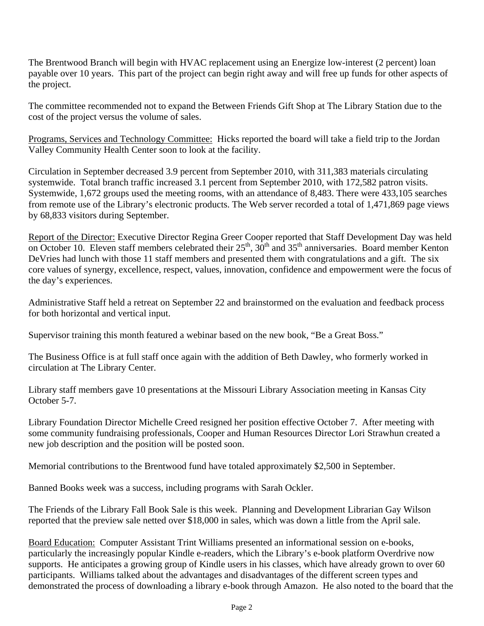The Brentwood Branch will begin with HVAC replacement using an Energize low-interest (2 percent) loan payable over 10 years. This part of the project can begin right away and will free up funds for other aspects of the project.

The committee recommended not to expand the Between Friends Gift Shop at The Library Station due to the cost of the project versus the volume of sales.

Programs, Services and Technology Committee: Hicks reported the board will take a field trip to the Jordan Valley Community Health Center soon to look at the facility.

Circulation in September decreased 3.9 percent from September 2010, with 311,383 materials circulating systemwide. Total branch traffic increased 3.1 percent from September 2010, with 172,582 patron visits. Systemwide, 1,672 groups used the meeting rooms, with an attendance of 8,483. There were 433,105 searches from remote use of the Library's electronic products. The Web server recorded a total of 1,471,869 page views by 68,833 visitors during September.

Report of the Director: Executive Director Regina Greer Cooper reported that Staff Development Day was held on October 10. Eleven staff members celebrated their  $25<sup>th</sup>$ ,  $30<sup>th</sup>$  and  $35<sup>th</sup>$  anniversaries. Board member Kenton DeVries had lunch with those 11 staff members and presented them with congratulations and a gift. The six core values of synergy, excellence, respect, values, innovation, confidence and empowerment were the focus of the day's experiences.

Administrative Staff held a retreat on September 22 and brainstormed on the evaluation and feedback process for both horizontal and vertical input.

Supervisor training this month featured a webinar based on the new book, "Be a Great Boss."

The Business Office is at full staff once again with the addition of Beth Dawley, who formerly worked in circulation at The Library Center.

Library staff members gave 10 presentations at the Missouri Library Association meeting in Kansas City October 5-7.

Library Foundation Director Michelle Creed resigned her position effective October 7. After meeting with some community fundraising professionals, Cooper and Human Resources Director Lori Strawhun created a new job description and the position will be posted soon.

Memorial contributions to the Brentwood fund have totaled approximately \$2,500 in September.

Banned Books week was a success, including programs with Sarah Ockler.

The Friends of the Library Fall Book Sale is this week. Planning and Development Librarian Gay Wilson reported that the preview sale netted over \$18,000 in sales, which was down a little from the April sale.

Board Education: Computer Assistant Trint Williams presented an informational session on e-books, particularly the increasingly popular Kindle e-readers, which the Library's e-book platform Overdrive now supports. He anticipates a growing group of Kindle users in his classes, which have already grown to over 60 participants. Williams talked about the advantages and disadvantages of the different screen types and demonstrated the process of downloading a library e-book through Amazon. He also noted to the board that the